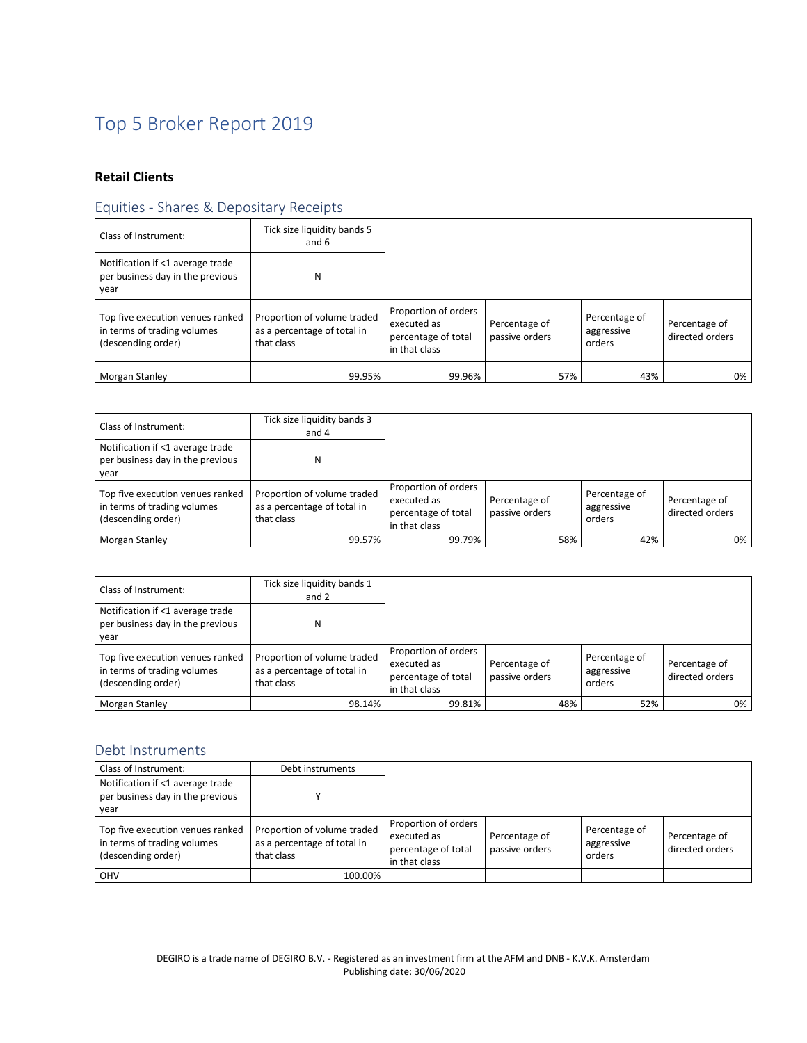# Top 5 Broker Report 2019

## **Retail Clients**

# Equities - Shares & Depositary Receipts

| Class of Instrument:                                                                  | Tick size liquidity bands 5<br>and 6                                     |                                                                             |                                 |                                       |                                  |
|---------------------------------------------------------------------------------------|--------------------------------------------------------------------------|-----------------------------------------------------------------------------|---------------------------------|---------------------------------------|----------------------------------|
| Notification if <1 average trade<br>per business day in the previous<br>year          | Ν                                                                        |                                                                             |                                 |                                       |                                  |
| Top five execution venues ranked<br>in terms of trading volumes<br>(descending order) | Proportion of volume traded<br>as a percentage of total in<br>that class | Proportion of orders<br>executed as<br>percentage of total<br>in that class | Percentage of<br>passive orders | Percentage of<br>aggressive<br>orders | Percentage of<br>directed orders |
| Morgan Stanley                                                                        | 99.95%                                                                   | 99.96%                                                                      | 57%                             | 43%                                   | $0\%$                            |

| Class of Instrument:                                                                  | Tick size liquidity bands 3<br>and 4                                     |                                                                             |                                 |     |                                       |                                  |
|---------------------------------------------------------------------------------------|--------------------------------------------------------------------------|-----------------------------------------------------------------------------|---------------------------------|-----|---------------------------------------|----------------------------------|
| Notification if <1 average trade<br>per business day in the previous<br>vear          | N                                                                        |                                                                             |                                 |     |                                       |                                  |
| Top five execution venues ranked<br>in terms of trading volumes<br>(descending order) | Proportion of volume traded<br>as a percentage of total in<br>that class | Proportion of orders<br>executed as<br>percentage of total<br>in that class | Percentage of<br>passive orders |     | Percentage of<br>aggressive<br>orders | Percentage of<br>directed orders |
| <b>Morgan Stanley</b>                                                                 | 99.57%                                                                   | 99.79%                                                                      |                                 | 58% | 42%                                   | $0\%$                            |

| Class of Instrument:                                                                  | Tick size liguidity bands 1<br>and 2                                     |                                                                             |                                 |                                       |                                  |
|---------------------------------------------------------------------------------------|--------------------------------------------------------------------------|-----------------------------------------------------------------------------|---------------------------------|---------------------------------------|----------------------------------|
| Notification if <1 average trade<br>per business day in the previous<br>year          | Ν                                                                        |                                                                             |                                 |                                       |                                  |
| Top five execution venues ranked<br>in terms of trading volumes<br>(descending order) | Proportion of volume traded<br>as a percentage of total in<br>that class | Proportion of orders<br>executed as<br>percentage of total<br>in that class | Percentage of<br>passive orders | Percentage of<br>aggressive<br>orders | Percentage of<br>directed orders |
| Morgan Stanley                                                                        | 98.14%                                                                   | 99.81%                                                                      | 48%                             | 52%                                   | $0\%$                            |

#### Debt Instruments

| Class of Instrument:                                                                  | Debt instruments                                                         |                                                                             |                                 |                                       |                                  |
|---------------------------------------------------------------------------------------|--------------------------------------------------------------------------|-----------------------------------------------------------------------------|---------------------------------|---------------------------------------|----------------------------------|
| Notification if <1 average trade<br>per business day in the previous<br>vear          |                                                                          |                                                                             |                                 |                                       |                                  |
| Top five execution venues ranked<br>in terms of trading volumes<br>(descending order) | Proportion of volume traded<br>as a percentage of total in<br>that class | Proportion of orders<br>executed as<br>percentage of total<br>in that class | Percentage of<br>passive orders | Percentage of<br>aggressive<br>orders | Percentage of<br>directed orders |
| OHV                                                                                   | 100.00%                                                                  |                                                                             |                                 |                                       |                                  |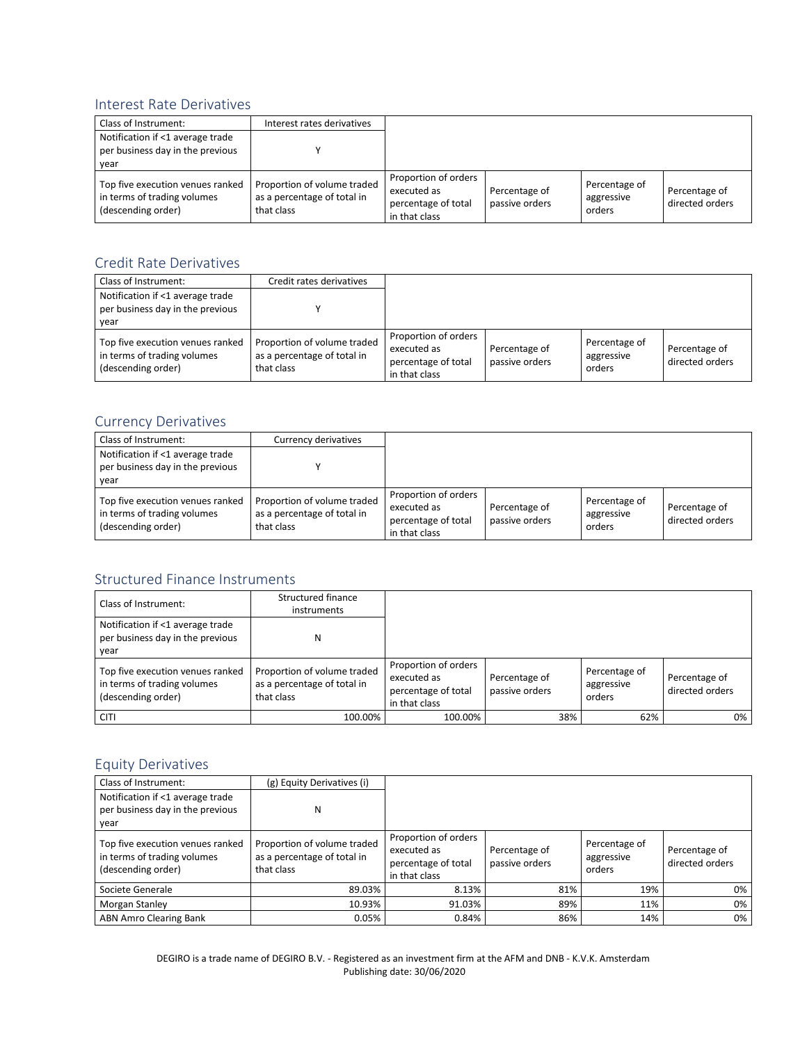#### Interest Rate Derivatives

| Class of Instrument:                                                                  | Interest rates derivatives                                               |                                                                             |                                 |                                       |                                  |
|---------------------------------------------------------------------------------------|--------------------------------------------------------------------------|-----------------------------------------------------------------------------|---------------------------------|---------------------------------------|----------------------------------|
| Notification if <1 average trade<br>per business day in the previous<br>vear          |                                                                          |                                                                             |                                 |                                       |                                  |
| Top five execution venues ranked<br>in terms of trading volumes<br>(descending order) | Proportion of volume traded<br>as a percentage of total in<br>that class | Proportion of orders<br>executed as<br>percentage of total<br>in that class | Percentage of<br>passive orders | Percentage of<br>aggressive<br>orders | Percentage of<br>directed orders |

#### Credit Rate Derivatives

| Class of Instrument:                                                                  | Credit rates derivatives                                                 |                                                                             |                                 |                                       |                                  |
|---------------------------------------------------------------------------------------|--------------------------------------------------------------------------|-----------------------------------------------------------------------------|---------------------------------|---------------------------------------|----------------------------------|
| Notification if <1 average trade<br>per business day in the previous<br>vear          |                                                                          |                                                                             |                                 |                                       |                                  |
| Top five execution venues ranked<br>in terms of trading volumes<br>(descending order) | Proportion of volume traded<br>as a percentage of total in<br>that class | Proportion of orders<br>executed as<br>percentage of total<br>in that class | Percentage of<br>passive orders | Percentage of<br>aggressive<br>orders | Percentage of<br>directed orders |

#### Currency Derivatives

| Class of Instrument:                                                                  | Currency derivatives                                                     |                                                                             |                                 |                                       |                                  |
|---------------------------------------------------------------------------------------|--------------------------------------------------------------------------|-----------------------------------------------------------------------------|---------------------------------|---------------------------------------|----------------------------------|
| Notification if <1 average trade<br>per business day in the previous<br>vear          |                                                                          |                                                                             |                                 |                                       |                                  |
| Top five execution venues ranked<br>in terms of trading volumes<br>(descending order) | Proportion of volume traded<br>as a percentage of total in<br>that class | Proportion of orders<br>executed as<br>percentage of total<br>in that class | Percentage of<br>passive orders | Percentage of<br>aggressive<br>orders | Percentage of<br>directed orders |

#### Structured Finance Instruments

| Class of Instrument:                                                                  | Structured finance<br>instruments                                        |                                                                             |                                 |     |                                       |                                  |
|---------------------------------------------------------------------------------------|--------------------------------------------------------------------------|-----------------------------------------------------------------------------|---------------------------------|-----|---------------------------------------|----------------------------------|
| Notification if <1 average trade<br>per business day in the previous<br>year          | Ν                                                                        |                                                                             |                                 |     |                                       |                                  |
| Top five execution venues ranked<br>in terms of trading volumes<br>(descending order) | Proportion of volume traded<br>as a percentage of total in<br>that class | Proportion of orders<br>executed as<br>percentage of total<br>in that class | Percentage of<br>passive orders |     | Percentage of<br>aggressive<br>orders | Percentage of<br>directed orders |
| <b>CITI</b>                                                                           | 100.00%                                                                  | 100.00%                                                                     |                                 | 38% | 62%                                   | 0%                               |

## Equity Derivatives

| Class of Instrument:                                                                  | (g) Equity Derivatives (i)                                               |                                                                             |                                 |                                       |                                  |
|---------------------------------------------------------------------------------------|--------------------------------------------------------------------------|-----------------------------------------------------------------------------|---------------------------------|---------------------------------------|----------------------------------|
| Notification if <1 average trade<br>per business day in the previous<br>year          | N                                                                        |                                                                             |                                 |                                       |                                  |
| Top five execution venues ranked<br>in terms of trading volumes<br>(descending order) | Proportion of volume traded<br>as a percentage of total in<br>that class | Proportion of orders<br>executed as<br>percentage of total<br>in that class | Percentage of<br>passive orders | Percentage of<br>aggressive<br>orders | Percentage of<br>directed orders |
| Societe Generale                                                                      | 89.03%                                                                   | 8.13%                                                                       | 81%                             | 19%                                   | $0\%$                            |
| <b>Morgan Stanley</b>                                                                 | 10.93%                                                                   | 91.03%                                                                      | 89%                             | 11%                                   | 0%                               |
| <b>ABN Amro Clearing Bank</b>                                                         | 0.05%                                                                    | 0.84%                                                                       | 86%                             | 14%                                   | $0\%$                            |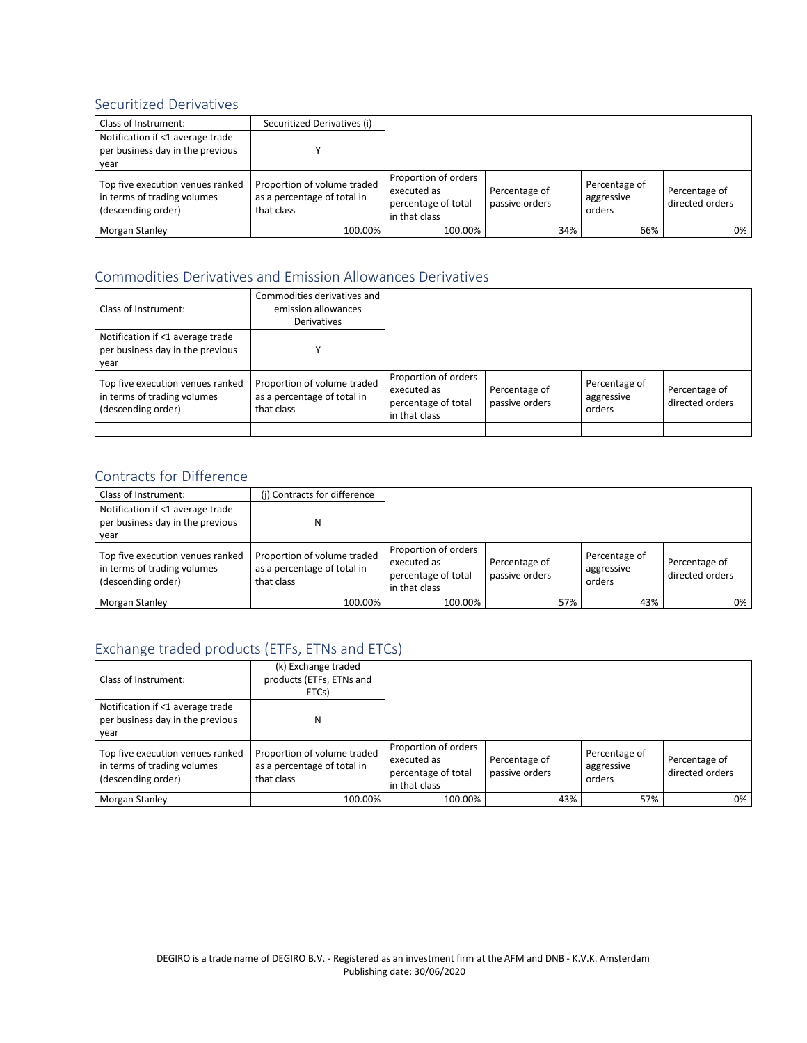## Securitized Derivatives

| Class of Instrument:                                                                  | Securitized Derivatives (i)                                              |                                                                             |                                 |                                       |                                  |
|---------------------------------------------------------------------------------------|--------------------------------------------------------------------------|-----------------------------------------------------------------------------|---------------------------------|---------------------------------------|----------------------------------|
| Notification if <1 average trade<br>per business day in the previous<br>year          |                                                                          |                                                                             |                                 |                                       |                                  |
| Top five execution venues ranked<br>in terms of trading volumes<br>(descending order) | Proportion of volume traded<br>as a percentage of total in<br>that class | Proportion of orders<br>executed as<br>percentage of total<br>in that class | Percentage of<br>passive orders | Percentage of<br>aggressive<br>orders | Percentage of<br>directed orders |
| Morgan Stanley                                                                        | 100.00%                                                                  | 100.00%                                                                     | 34%                             | 66%                                   | $0\%$                            |

## Commodities Derivatives and Emission Allowances Derivatives

| Class of Instrument:                                                                  | Commodities derivatives and<br>emission allowances<br>Derivatives        |                                                                             |                                 |                                       |                                  |
|---------------------------------------------------------------------------------------|--------------------------------------------------------------------------|-----------------------------------------------------------------------------|---------------------------------|---------------------------------------|----------------------------------|
| Notification if <1 average trade<br>per business day in the previous<br>year          |                                                                          |                                                                             |                                 |                                       |                                  |
| Top five execution venues ranked<br>in terms of trading volumes<br>(descending order) | Proportion of volume traded<br>as a percentage of total in<br>that class | Proportion of orders<br>executed as<br>percentage of total<br>in that class | Percentage of<br>passive orders | Percentage of<br>aggressive<br>orders | Percentage of<br>directed orders |
|                                                                                       |                                                                          |                                                                             |                                 |                                       |                                  |

## Contracts for Difference

| Class of Instrument:                                                                  | (i) Contracts for difference                                             |                                                                             |                                 |     |                                       |                                  |
|---------------------------------------------------------------------------------------|--------------------------------------------------------------------------|-----------------------------------------------------------------------------|---------------------------------|-----|---------------------------------------|----------------------------------|
| Notification if <1 average trade<br>per business day in the previous<br>vear          | Ν                                                                        |                                                                             |                                 |     |                                       |                                  |
| Top five execution venues ranked<br>in terms of trading volumes<br>(descending order) | Proportion of volume traded<br>as a percentage of total in<br>that class | Proportion of orders<br>executed as<br>percentage of total<br>in that class | Percentage of<br>passive orders |     | Percentage of<br>aggressive<br>orders | Percentage of<br>directed orders |
| Morgan Stanley                                                                        | 100.00%                                                                  | 100.00%                                                                     |                                 | 57% | 43%                                   | 0%                               |

# Exchange traded products (ETFs, ETNs and ETCs)

| Class of Instrument:                                                                  | (k) Exchange traded<br>products (ETFs, ETNs and<br>ETCs)                 |                                                                             |                                 |                                       |                                  |
|---------------------------------------------------------------------------------------|--------------------------------------------------------------------------|-----------------------------------------------------------------------------|---------------------------------|---------------------------------------|----------------------------------|
| Notification if <1 average trade<br>per business day in the previous<br>vear          | Ν                                                                        |                                                                             |                                 |                                       |                                  |
| Top five execution venues ranked<br>in terms of trading volumes<br>(descending order) | Proportion of volume traded<br>as a percentage of total in<br>that class | Proportion of orders<br>executed as<br>percentage of total<br>in that class | Percentage of<br>passive orders | Percentage of<br>aggressive<br>orders | Percentage of<br>directed orders |
| Morgan Stanley                                                                        | 100.00%                                                                  | 100.00%                                                                     | 43%                             | 57%                                   | 0%                               |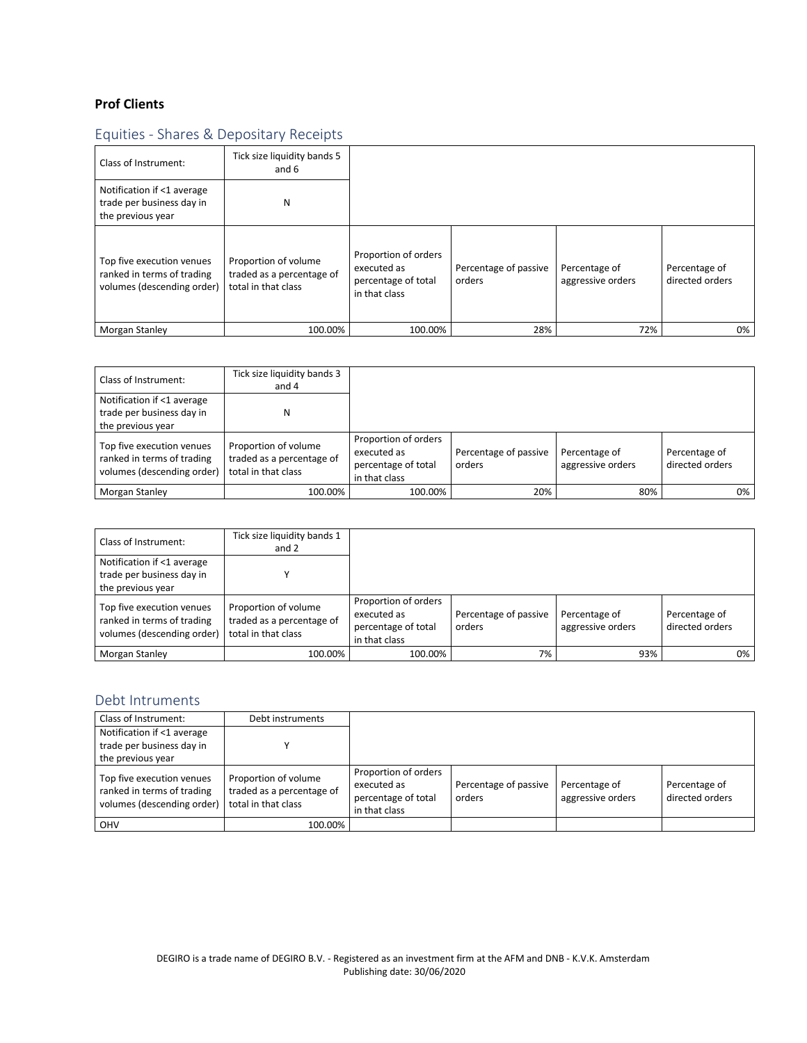## **Prof Clients**

# Equities - Shares & Depositary Receipts

| Class of Instrument:                                                                  | Tick size liquidity bands 5<br>and 6                                     |                                                                             |                                 |                                    |                                  |
|---------------------------------------------------------------------------------------|--------------------------------------------------------------------------|-----------------------------------------------------------------------------|---------------------------------|------------------------------------|----------------------------------|
| Notification if <1 average<br>trade per business day in<br>the previous year          | N                                                                        |                                                                             |                                 |                                    |                                  |
| Top five execution venues<br>ranked in terms of trading<br>volumes (descending order) | Proportion of volume<br>traded as a percentage of<br>total in that class | Proportion of orders<br>executed as<br>percentage of total<br>in that class | Percentage of passive<br>orders | Percentage of<br>aggressive orders | Percentage of<br>directed orders |
| Morgan Stanley                                                                        | 100.00%                                                                  | 100.00%                                                                     | 28%                             | 72%                                | 0%                               |

| Class of Instrument:                                                                  | Tick size liquidity bands 3<br>and 4                                     |                                                                             |                                 |                                    |                                  |
|---------------------------------------------------------------------------------------|--------------------------------------------------------------------------|-----------------------------------------------------------------------------|---------------------------------|------------------------------------|----------------------------------|
| Notification if <1 average<br>trade per business day in<br>the previous year          | N                                                                        |                                                                             |                                 |                                    |                                  |
| Top five execution venues<br>ranked in terms of trading<br>volumes (descending order) | Proportion of volume<br>traded as a percentage of<br>total in that class | Proportion of orders<br>executed as<br>percentage of total<br>in that class | Percentage of passive<br>orders | Percentage of<br>aggressive orders | Percentage of<br>directed orders |
| Morgan Stanley                                                                        | 100.00%                                                                  | 100.00%                                                                     | 20%                             | 80%                                | 0%                               |

| Class of Instrument:                                                                  | Tick size liquidity bands 1<br>and 2                                     |                                                                             |                                 |                                    |                                  |
|---------------------------------------------------------------------------------------|--------------------------------------------------------------------------|-----------------------------------------------------------------------------|---------------------------------|------------------------------------|----------------------------------|
| Notification if <1 average<br>trade per business day in<br>the previous year          |                                                                          |                                                                             |                                 |                                    |                                  |
| Top five execution venues<br>ranked in terms of trading<br>volumes (descending order) | Proportion of volume<br>traded as a percentage of<br>total in that class | Proportion of orders<br>executed as<br>percentage of total<br>in that class | Percentage of passive<br>orders | Percentage of<br>aggressive orders | Percentage of<br>directed orders |
| Morgan Stanley                                                                        | 100.00%                                                                  | 100.00%                                                                     | 7%                              | 93%                                | 0%                               |

#### Debt Intruments

| Class of Instrument:                                                                  | Debt instruments                                                         |                                                                             |                                 |                                    |                                  |
|---------------------------------------------------------------------------------------|--------------------------------------------------------------------------|-----------------------------------------------------------------------------|---------------------------------|------------------------------------|----------------------------------|
| Notification if <1 average<br>trade per business day in                               |                                                                          |                                                                             |                                 |                                    |                                  |
| the previous year                                                                     |                                                                          |                                                                             |                                 |                                    |                                  |
| Top five execution venues<br>ranked in terms of trading<br>volumes (descending order) | Proportion of volume<br>traded as a percentage of<br>total in that class | Proportion of orders<br>executed as<br>percentage of total<br>in that class | Percentage of passive<br>orders | Percentage of<br>aggressive orders | Percentage of<br>directed orders |
| <b>OHV</b>                                                                            | 100.00%                                                                  |                                                                             |                                 |                                    |                                  |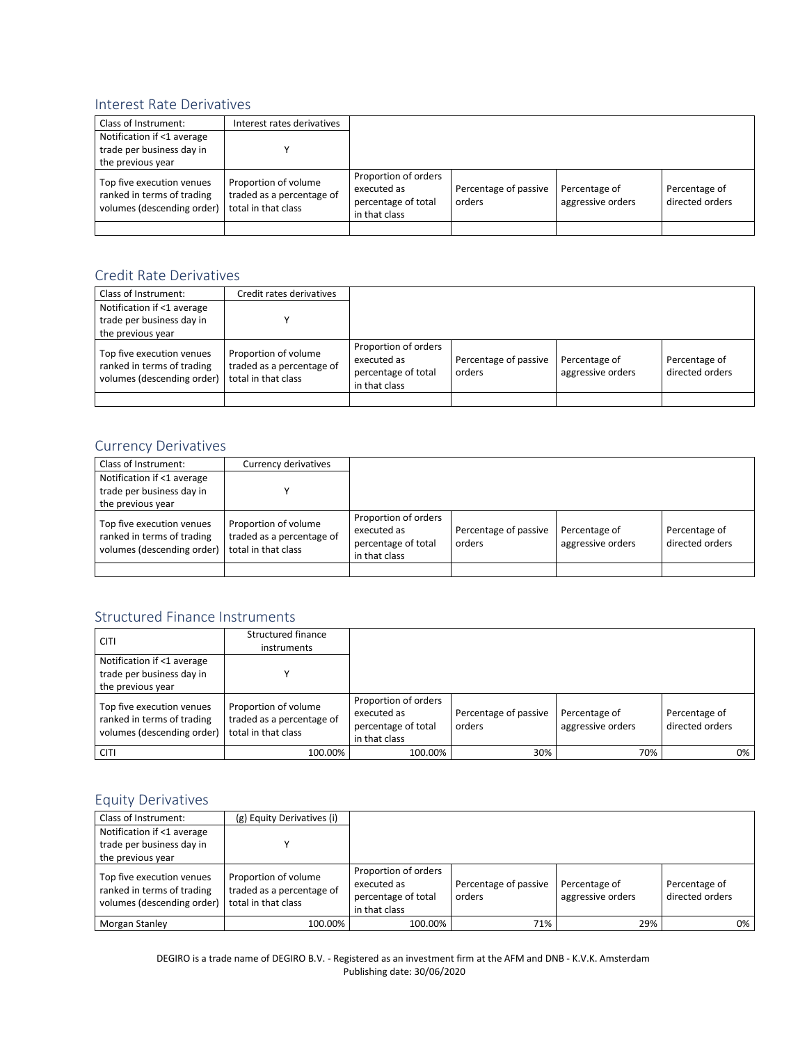#### Interest Rate Derivatives

| Class of Instrument:                                                                  | Interest rates derivatives                                               |                                                                             |                                 |                                    |                                  |
|---------------------------------------------------------------------------------------|--------------------------------------------------------------------------|-----------------------------------------------------------------------------|---------------------------------|------------------------------------|----------------------------------|
| Notification if <1 average                                                            |                                                                          |                                                                             |                                 |                                    |                                  |
| trade per business day in                                                             |                                                                          |                                                                             |                                 |                                    |                                  |
| the previous year                                                                     |                                                                          |                                                                             |                                 |                                    |                                  |
| Top five execution venues<br>ranked in terms of trading<br>volumes (descending order) | Proportion of volume<br>traded as a percentage of<br>total in that class | Proportion of orders<br>executed as<br>percentage of total<br>in that class | Percentage of passive<br>orders | Percentage of<br>aggressive orders | Percentage of<br>directed orders |
|                                                                                       |                                                                          |                                                                             |                                 |                                    |                                  |

#### Credit Rate Derivatives

| Class of Instrument:                                                                  | Credit rates derivatives                                                 |                                                                             |                                 |                                    |                                  |
|---------------------------------------------------------------------------------------|--------------------------------------------------------------------------|-----------------------------------------------------------------------------|---------------------------------|------------------------------------|----------------------------------|
| Notification if <1 average                                                            |                                                                          |                                                                             |                                 |                                    |                                  |
| trade per business day in                                                             |                                                                          |                                                                             |                                 |                                    |                                  |
| the previous year                                                                     |                                                                          |                                                                             |                                 |                                    |                                  |
| Top five execution venues<br>ranked in terms of trading<br>volumes (descending order) | Proportion of volume<br>traded as a percentage of<br>total in that class | Proportion of orders<br>executed as<br>percentage of total<br>in that class | Percentage of passive<br>orders | Percentage of<br>aggressive orders | Percentage of<br>directed orders |
|                                                                                       |                                                                          |                                                                             |                                 |                                    |                                  |

#### Currency Derivatives

| Class of Instrument:                                                                  | Currency derivatives                                                     |                                                                             |                                 |                                    |                                  |
|---------------------------------------------------------------------------------------|--------------------------------------------------------------------------|-----------------------------------------------------------------------------|---------------------------------|------------------------------------|----------------------------------|
| Notification if <1 average<br>trade per business day in<br>the previous year          |                                                                          |                                                                             |                                 |                                    |                                  |
| Top five execution venues<br>ranked in terms of trading<br>volumes (descending order) | Proportion of volume<br>traded as a percentage of<br>total in that class | Proportion of orders<br>executed as<br>percentage of total<br>in that class | Percentage of passive<br>orders | Percentage of<br>aggressive orders | Percentage of<br>directed orders |
|                                                                                       |                                                                          |                                                                             |                                 |                                    |                                  |

## Structured Finance Instruments

| <b>CITI</b>                                                                           | Structured finance<br>instruments                                        |                                                                             |                                 |                                    |                                  |
|---------------------------------------------------------------------------------------|--------------------------------------------------------------------------|-----------------------------------------------------------------------------|---------------------------------|------------------------------------|----------------------------------|
| Notification if <1 average<br>trade per business day in<br>the previous year          |                                                                          |                                                                             |                                 |                                    |                                  |
| Top five execution venues<br>ranked in terms of trading<br>volumes (descending order) | Proportion of volume<br>traded as a percentage of<br>total in that class | Proportion of orders<br>executed as<br>percentage of total<br>in that class | Percentage of passive<br>orders | Percentage of<br>aggressive orders | Percentage of<br>directed orders |
| <b>CITI</b>                                                                           | 100.00%                                                                  | 100.00%                                                                     | 30%                             | 70%                                | 0%                               |

## Equity Derivatives

| Class of Instrument:                                                                  | (g) Equity Derivatives (i)                                               |                                                                             |                                 |                                    |                                  |
|---------------------------------------------------------------------------------------|--------------------------------------------------------------------------|-----------------------------------------------------------------------------|---------------------------------|------------------------------------|----------------------------------|
| Notification if <1 average<br>trade per business day in<br>the previous year          |                                                                          |                                                                             |                                 |                                    |                                  |
| Top five execution venues<br>ranked in terms of trading<br>volumes (descending order) | Proportion of volume<br>traded as a percentage of<br>total in that class | Proportion of orders<br>executed as<br>percentage of total<br>in that class | Percentage of passive<br>orders | Percentage of<br>aggressive orders | Percentage of<br>directed orders |
| Morgan Stanley                                                                        | 100.00%                                                                  | 100.00%                                                                     | 71%                             | 29%                                | 0%                               |

DEGIRO is a trade name of DEGIRO B.V. - Registered as an investment firm at the AFM and DNB - K.V.K. Amsterdam Publishing date: 30/06/2020